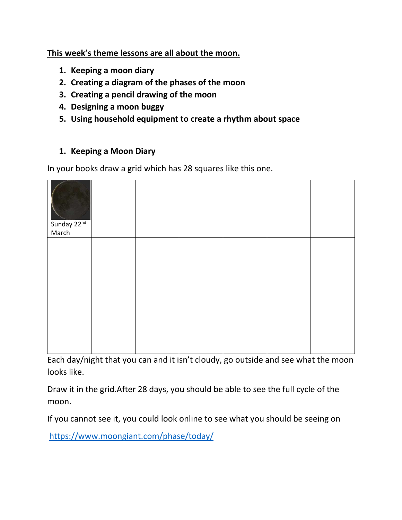# **This week's theme lessons are all about the moon.**

- **1. Keeping a moon diary**
- **2. Creating a diagram of the phases of the moon**
- **3. Creating a pencil drawing of the moon**
- **4. Designing a moon buggy**
- **5. Using household equipment to create a rhythm about space**

## **1. Keeping a Moon Diary**

In your books draw a grid which has 28 squares like this one.

| Sunday 22nd<br>March |  |  |  |
|----------------------|--|--|--|
|                      |  |  |  |
|                      |  |  |  |
|                      |  |  |  |

Each day/night that you can and it isn't cloudy, go outside and see what the moon looks like.

Draw it in the grid.After 28 days, you should be able to see the full cycle of the moon.

If you cannot see it, you could look online to see what you should be seeing on

<https://www.moongiant.com/phase/today/>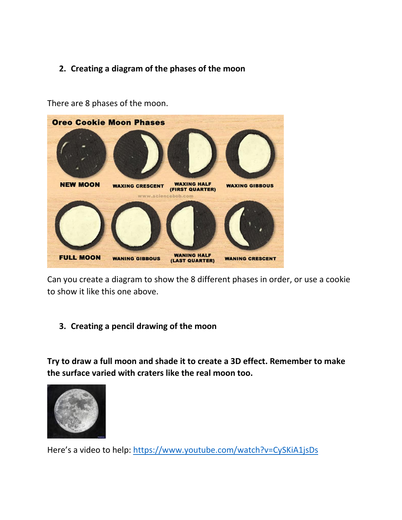# **2. Creating a diagram of the phases of the moon**



There are 8 phases of the moon.

Can you create a diagram to show the 8 different phases in order, or use a cookie to show it like this one above.

#### **3. Creating a pencil drawing of the moon**

**Try to draw a full moon and shade it to create a 3D effect. Remember to make the surface varied with craters like the real moon too.**



Here's a video to help: <https://www.youtube.com/watch?v=CySKiA1jsDs>